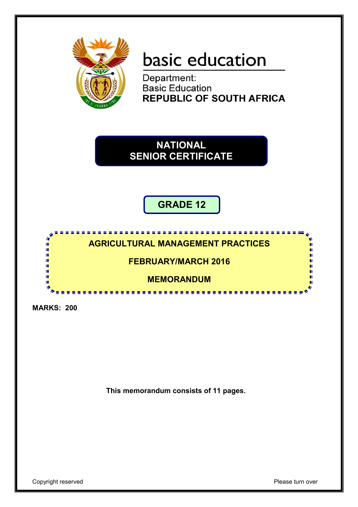

# basic education

Department: **Basic Education REPUBLIC OF SOUTH AFRICA** 

**NATIONAL SENIOR CERTIFICATE**

**GRADE 12**

<u>..............</u> **AGRICULTURAL MANAGEMENT PRACTICES**

**FEBRUARY/MARCH 2016**

**MEMORANDUM**

**MARKS: 200**

۱<mark>.</mark> I. n, ΙĖ, п n.

**This memorandum consists of 11 pages.**

Copyright reserved **Please** turn over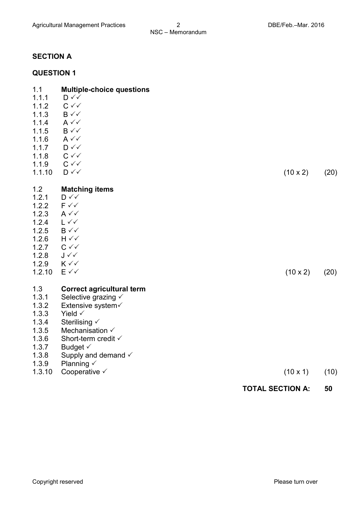# **SECTION A**

# **QUESTION 1**

| 1.1    | <b>Multiple-choice questions</b> |                         |      |
|--------|----------------------------------|-------------------------|------|
| 1.1.1  | $D \vee \vee$                    |                         |      |
| 1.1.2  | $C \vee C$                       |                         |      |
| 1.1.3  | $\mathsf{B}\mathbin{\checkmark}$ |                         |      |
| 1.1.4  | $A \vee C$                       |                         |      |
| 1.1.5  | $B \vee \vee$                    |                         |      |
| 1.1.6  | $A \vee C$                       |                         |      |
| 1.1.7  | $D \vee \vee$                    |                         |      |
| 1.1.8  | $C \vee C$                       |                         |      |
| 1.1.9  | $C \vee C$                       |                         |      |
| 1.1.10 | $D \vee \vee$                    | $(10 \times 2)$         | (20) |
| 1.2    | <b>Matching items</b>            |                         |      |
| 1.2.1  | $D \vee \vee$                    |                         |      |
| 1.2.2  | $F \checkmark$                   |                         |      |
| 1.2.3  | $A \vee C$                       |                         |      |
| 1.2.4  | $L \vee \vee$                    |                         |      |
| 1.2.5  | $B \vee \vee$                    |                         |      |
| 1.2.6  | $H \vee \vee$                    |                         |      |
| 1.2.7  | $C \vee C$                       |                         |      |
| 1.2.8  | $J \vee \vee$                    |                         |      |
| 1.2.9  | $K \vee \vee$                    |                         |      |
| 1.2.10 | $E \vee \vee$                    | $(10 \times 2)$         | (20) |
| 1.3    | <b>Correct agricultural term</b> |                         |      |
| 1.3.1  | Selective grazing $\checkmark$   |                         |      |
| 1.3.2  | Extensive system√                |                         |      |
| 1.3.3  | Yield $\checkmark$               |                         |      |
| 1.3.4  | Sterilising $\checkmark$         |                         |      |
| 1.3.5  | Mechanisation $\checkmark$       |                         |      |
| 1.3.6  | Short-term credit √              |                         |      |
| 1.3.7  | Budget $\checkmark$              |                         |      |
| 1.3.8  | Supply and demand $\checkmark$   |                         |      |
| 1.3.9  | Planning $\checkmark$            |                         |      |
| 1.3.10 | Cooperative $\checkmark$         | $(10 \times 1)$         | (10) |
|        |                                  | <b>TOTAL SECTION A:</b> | 50   |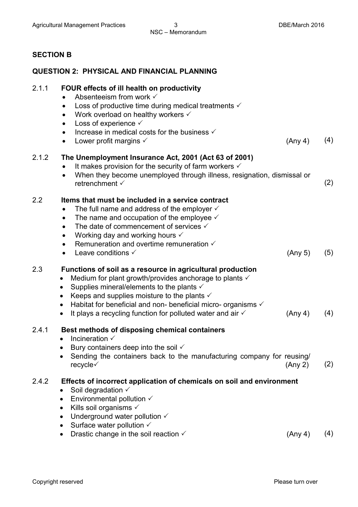## **SECTION B**

|       | QUESTION 2: PHYSICAL AND FINANCIAL PLANNING                                                                                                                                                                                                                                                                                                                                                                                                                                        |     |
|-------|------------------------------------------------------------------------------------------------------------------------------------------------------------------------------------------------------------------------------------------------------------------------------------------------------------------------------------------------------------------------------------------------------------------------------------------------------------------------------------|-----|
| 2.1.1 | <b>FOUR effects of ill health on productivity</b><br>Absenteeism from work V<br>$\bullet$<br>Loss of productive time during medical treatments $\checkmark$<br>$\bullet$<br>Work overload on healthy workers √<br>$\bullet$<br>Loss of experience $\checkmark$<br>$\bullet$<br>Increase in medical costs for the business $\checkmark$<br>$\bullet$<br>Lower profit margins $\checkmark$<br>(Any 4)<br>$\bullet$                                                                   | (4) |
| 2.1.2 | The Unemployment Insurance Act, 2001 (Act 63 of 2001)<br>It makes provision for the security of farm workers $\checkmark$<br>When they become unemployed through illness, resignation, dismissal or<br>$\bullet$<br>retrenchment √                                                                                                                                                                                                                                                 | (2) |
| 2.2   | Items that must be included in a service contract<br>The full name and address of the employer $\checkmark$<br>$\bullet$<br>The name and occupation of the employee $\checkmark$<br>$\bullet$<br>The date of commencement of services $\checkmark$<br>$\bullet$<br>Working day and working hours $\checkmark$<br>$\bullet$<br>Remuneration and overtime remuneration $\checkmark$<br>$\bullet$<br>Leave conditions $\checkmark$<br>(Any 5)<br>$\bullet$                            | (5) |
| 2.3   | Functions of soil as a resource in agricultural production<br>Medium for plant growth/provides anchorage to plants $\checkmark$<br>$\bullet$<br>Supplies mineral/elements to the plants $\checkmark$<br>$\bullet$<br>Keeps and supplies moisture to the plants $\checkmark$<br>$\bullet$<br>Habitat for beneficial and non- beneficial micro- organisms $\checkmark$<br>$\bullet$<br>It plays a recycling function for polluted water and air $\checkmark$<br>(Any 4)<br>$\bullet$ | (4) |
| 2.4.1 | Best methods of disposing chemical containers<br>Incineration $\checkmark$<br>Bury containers deep into the soil $\checkmark$<br>Sending the containers back to the manufacturing company for reusing/<br>$\bullet$<br>$recycle\checkmark$<br>(Any 2)                                                                                                                                                                                                                              | (2) |
| 2.4.2 | Effects of incorrect application of chemicals on soil and environment<br>Soil degradation $\checkmark$<br>$\bullet$<br>Environmental pollution $\checkmark$<br>٠<br>Kills soil organisms $\checkmark$<br>$\bullet$<br>Underground water pollution $\checkmark$<br>$\bullet$<br>Surface water pollution $\checkmark$<br>$\bullet$<br>Drastic change in the soil reaction $\checkmark$<br>(Any 4)                                                                                    | (4) |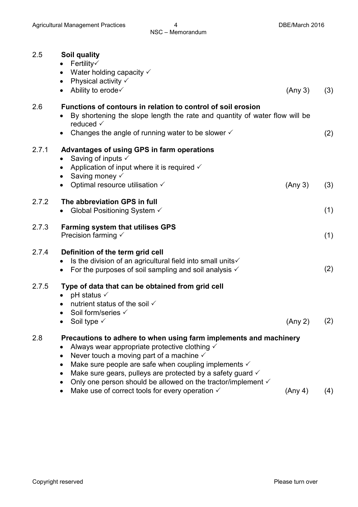| 2.5   | Soil quality<br>Fertility $\checkmark$<br>$\bullet$<br>Water holding capacity $\checkmark$<br>$\bullet$<br>Physical activity $\checkmark$<br>$\bullet$<br>Ability to erode√<br>$\bullet$                                                                                                                                                                                                                                                   | (Any 3) | (3) |
|-------|--------------------------------------------------------------------------------------------------------------------------------------------------------------------------------------------------------------------------------------------------------------------------------------------------------------------------------------------------------------------------------------------------------------------------------------------|---------|-----|
| 2.6   | Functions of contours in relation to control of soil erosion<br>By shortening the slope length the rate and quantity of water flow will be<br>reduced $\checkmark$                                                                                                                                                                                                                                                                         |         |     |
|       | Changes the angle of running water to be slower $\checkmark$<br>$\bullet$                                                                                                                                                                                                                                                                                                                                                                  |         | (2) |
| 2.7.1 | Advantages of using GPS in farm operations<br>Saving of inputs $\checkmark$<br>Application of input where it is required $\checkmark$<br>$\bullet$<br>Saving money V<br>$\bullet$<br>Optimal resource utilisation V                                                                                                                                                                                                                        | (Any 3) | (3) |
|       |                                                                                                                                                                                                                                                                                                                                                                                                                                            |         |     |
| 2.7.2 | The abbreviation GPS in full<br>Global Positioning System ✓                                                                                                                                                                                                                                                                                                                                                                                |         | (1) |
| 2.7.3 | <b>Farming system that utilises GPS</b><br>Precision farming $\checkmark$                                                                                                                                                                                                                                                                                                                                                                  |         | (1) |
| 2.7.4 | Definition of the term grid cell<br>Is the division of an agricultural field into small units√<br>For the purposes of soil sampling and soil analysis $\checkmark$<br>$\bullet$                                                                                                                                                                                                                                                            |         | (2) |
| 2.7.5 | Type of data that can be obtained from grid cell<br>pH status $\checkmark$<br>$\bullet$<br>nutrient status of the soil $\checkmark$<br>$\bullet$<br>Soil form/series √<br>$\bullet$<br>Soil type $\checkmark$                                                                                                                                                                                                                              | (Any 2) | (2) |
| 2.8   | Precautions to adhere to when using farm implements and machinery<br>Always wear appropriate protective clothing $\checkmark$<br>Never touch a moving part of a machine $\checkmark$<br>٠<br>Make sure people are safe when coupling implements $\checkmark$<br>$\bullet$<br>Make sure gears, pulleys are protected by a safety guard $\checkmark$<br>$\bullet$<br>Only one person should be allowed on the tractor/implement $\checkmark$ |         |     |

• Make use of correct tools for every operation  $\checkmark$  (Any 4) (4)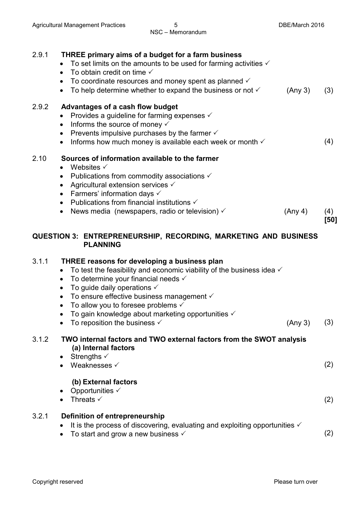| 2.9.1                                                                              | THREE primary aims of a budget for a farm business<br>To set limits on the amounts to be used for farming activities $\checkmark$<br>$\bullet$<br>To obtain credit on time $\checkmark$<br>$\bullet$<br>• To coordinate resources and money spent as planned $\checkmark$<br>To help determine whether to expand the business or not $\checkmark$                                                                                                                                                                                | (Any 3) | (3)         |  |
|------------------------------------------------------------------------------------|----------------------------------------------------------------------------------------------------------------------------------------------------------------------------------------------------------------------------------------------------------------------------------------------------------------------------------------------------------------------------------------------------------------------------------------------------------------------------------------------------------------------------------|---------|-------------|--|
| 2.9.2                                                                              | Advantages of a cash flow budget<br>Provides a guideline for farming expenses ✓<br>$\bullet$<br>Informs the source of money V<br>$\bullet$<br>Prevents impulsive purchases by the farmer $\checkmark$<br>$\bullet$<br>Informs how much money is available each week or month $\checkmark$<br>$\bullet$                                                                                                                                                                                                                           |         | (4)         |  |
| 2.10                                                                               | Sources of information available to the farmer<br>• Websites $\checkmark$<br>Publications from commodity associations $\checkmark$<br>$\bullet$<br>Agricultural extension services $\checkmark$<br>$\bullet$<br>• Farmers' information days $\checkmark$<br>Publications from financial institutions $\checkmark$<br>$\bullet$<br>News media (newspapers, radio or television) $\checkmark$<br>$\bullet$                                                                                                                         | (Any 4) | (4)<br>[50] |  |
| QUESTION 3: ENTREPRENEURSHIP, RECORDING, MARKETING AND BUSINESS<br><b>PLANNING</b> |                                                                                                                                                                                                                                                                                                                                                                                                                                                                                                                                  |         |             |  |
| 3.1.1                                                                              | THREE reasons for developing a business plan<br>To test the feasibility and economic viability of the business idea $\checkmark$<br>$\bullet$<br>To determine your financial needs $\checkmark$<br>$\bullet$<br>To guide daily operations $\checkmark$<br>$\bullet$<br>To ensure effective business management $\checkmark$<br>$\bullet$<br>To allow you to foresee problems $\checkmark$<br>$\bullet$<br>To gain knowledge about marketing opportunities √<br>$\bullet$<br>To reposition the business $\checkmark$<br>$\bullet$ | (Any 3) | (3)         |  |
| 3.1.2                                                                              | TWO internal factors and TWO external factors from the SWOT analysis<br>(a) Internal factors                                                                                                                                                                                                                                                                                                                                                                                                                                     |         |             |  |

| • Strengths $\checkmark$  |     |
|---------------------------|-----|
| • Weaknesses $\checkmark$ | (2) |
| (b) External factors      |     |

## • Opportunities  $\checkmark$ • Threats  $\checkmark$

## 3.2.1 **Definition of entrepreneurship**

 $\bullet$  It is the process of discovering, evaluating and exploiting opportunities  $\checkmark$ 

• To start and grow a new business  $\checkmark$ 

(2)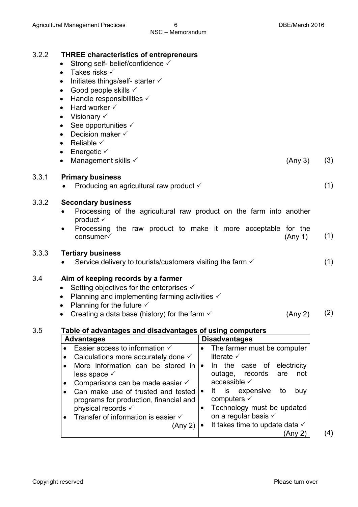| 3.2.2 | <b>THREE characteristics of entrepreneurs</b><br>Strong self- belief/confidence √<br>٠<br>Takes risks $\checkmark$<br>$\bullet$<br>Initiates things/self- starter √<br>$\bullet$<br>Good people skills $\checkmark$<br>$\bullet$<br>Handle responsibilities $\checkmark$<br>$\bullet$<br>Hard worker $\checkmark$<br>$\bullet$<br>Visionary $\checkmark$<br>$\bullet$<br>See opportunities $\checkmark$<br>$\bullet$<br>Decision maker √<br>$\bullet$<br>Reliable √<br>$\bullet$<br>Energetic $\checkmark$<br>$\bullet$ |                                                                               |     |
|-------|-------------------------------------------------------------------------------------------------------------------------------------------------------------------------------------------------------------------------------------------------------------------------------------------------------------------------------------------------------------------------------------------------------------------------------------------------------------------------------------------------------------------------|-------------------------------------------------------------------------------|-----|
|       | Management skills √<br>$\bullet$                                                                                                                                                                                                                                                                                                                                                                                                                                                                                        | (Any 3)                                                                       | (3) |
| 3.3.1 | <b>Primary business</b><br>Producing an agricultural raw product $\checkmark$                                                                                                                                                                                                                                                                                                                                                                                                                                           |                                                                               | (1) |
| 3.3.2 | <b>Secondary business</b><br>Processing of the agricultural raw product on the farm into another<br>product $\checkmark$<br>Processing the raw product to make it more acceptable for the<br>consumer√                                                                                                                                                                                                                                                                                                                  | (Any 1)                                                                       | (1) |
| 3.3.3 | <b>Tertiary business</b><br>Service delivery to tourists/customers visiting the farm $\checkmark$                                                                                                                                                                                                                                                                                                                                                                                                                       |                                                                               | (1) |
| 3.4   | Aim of keeping records by a farmer<br>Setting objectives for the enterprises $\checkmark$<br>$\bullet$<br>Planning and implementing farming activities $\checkmark$<br>$\bullet$<br>Planning for the future $\checkmark$<br>$\bullet$<br>Creating a data base (history) for the farm $\checkmark$                                                                                                                                                                                                                       | (Any 2)                                                                       | (2) |
|       |                                                                                                                                                                                                                                                                                                                                                                                                                                                                                                                         |                                                                               |     |
| 3.5   | Table of advantages and disadvantages of using computers                                                                                                                                                                                                                                                                                                                                                                                                                                                                |                                                                               |     |
|       | <b>Advantages</b>                                                                                                                                                                                                                                                                                                                                                                                                                                                                                                       | <b>Disadvantages</b>                                                          |     |
|       | Easier access to information $\checkmark$<br>$\bullet$                                                                                                                                                                                                                                                                                                                                                                                                                                                                  | The farmer must be computer<br>$\bullet$                                      |     |
|       | Calculations more accurately done $\checkmark$<br>$\bullet$                                                                                                                                                                                                                                                                                                                                                                                                                                                             | literate $\checkmark$                                                         |     |
|       | More information can be stored in<br>$\bullet$                                                                                                                                                                                                                                                                                                                                                                                                                                                                          | In the case of electricity<br>$\bullet$                                       |     |
|       | less space $\checkmark$                                                                                                                                                                                                                                                                                                                                                                                                                                                                                                 | outage,<br>records<br>are<br>not                                              |     |
|       | Comparisons can be made easier ✓<br>٠                                                                                                                                                                                                                                                                                                                                                                                                                                                                                   | accessible $\checkmark$                                                       |     |
|       | Can make use of trusted and tested<br>٠<br>programs for production, financial and                                                                                                                                                                                                                                                                                                                                                                                                                                       | is<br>expensive<br>buy<br>It<br>to<br>$  \bullet  $<br>computers $\checkmark$ |     |

 $(Any 2)$ 

• It takes time to update data  $\checkmark$  $(Any 2)$  (4)

• Technology must be updated

on a regular basis  $\checkmark$ 

physical records  $\checkmark$ 

• Transfer of information is easier  $\checkmark$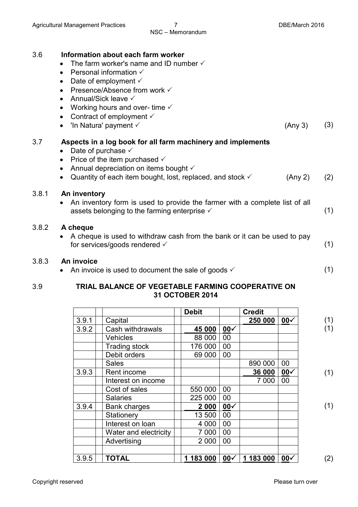| 3.6   | Information about each farm worker<br>The farm worker's name and ID number $\checkmark$<br>$\bullet$<br>Personal information $\checkmark$<br>$\bullet$<br>Date of employment $\checkmark$<br>$\bullet$<br>Presence/Absence from work √<br>$\bullet$<br>Annual/Sick leave √<br>$\bullet$<br>Working hours and over- time $\checkmark$<br>$\bullet$<br>Contract of employment $\checkmark$<br>$\bullet$ |     |
|-------|-------------------------------------------------------------------------------------------------------------------------------------------------------------------------------------------------------------------------------------------------------------------------------------------------------------------------------------------------------------------------------------------------------|-----|
|       | 'In Natura' payment $\checkmark$<br>(Any 3)<br>$\bullet$                                                                                                                                                                                                                                                                                                                                              | (3) |
| 3.7   | Aspects in a log book for all farm machinery and implements<br>Date of purchase $\checkmark$<br>$\bullet$<br>Price of the item purchased $\checkmark$<br>$\bullet$<br>Annual depreciation on items bought √<br>$\bullet$<br>Quantity of each item bought, lost, replaced, and stock $\checkmark$<br>(Any 2)<br>$\bullet$                                                                              | (2) |
| 3.8.1 | An inventory<br>An inventory form is used to provide the farmer with a complete list of all<br>$\bullet$<br>assets belonging to the farming enterprise $\checkmark$                                                                                                                                                                                                                                   | (1) |
| 3.8.2 | A cheque<br>A cheque is used to withdraw cash from the bank or it can be used to pay<br>for services/goods rendered $\checkmark$                                                                                                                                                                                                                                                                      | (1) |
| 3.8.3 | An invoice<br>An invoice is used to document the sale of goods $\checkmark$                                                                                                                                                                                                                                                                                                                           | (1) |

## 3.9 **TRIAL BALANCE OF VEGETABLE FARMING COOPERATIVE ON 31 OCTOBER 2014**

|       |                       | <b>Debit</b> |     | <b>Credit</b> |     |
|-------|-----------------------|--------------|-----|---------------|-----|
| 3.9.1 | Capital               |              |     | 250 000       | 00< |
| 3.9.2 | Cash withdrawals      | 45 000       | 00< |               |     |
|       | <b>Vehicles</b>       | 88 000       | 00  |               |     |
|       | <b>Trading stock</b>  | 176 000      | 00  |               |     |
|       | Debit orders          | 69 000       | 00  |               |     |
|       | <b>Sales</b>          |              |     | 890 000       | 00  |
| 3.9.3 | Rent income           |              |     | 36 000        | 00< |
|       | Interest on income    |              |     | 7 0 0 0       | 00  |
|       | Cost of sales         | 550 000      | 00  |               |     |
|       | <b>Salaries</b>       | 225 000      | 00  |               |     |
| 3.9.4 | Bank charges          | 2 0 0 0      | 00< |               |     |
|       | Stationery            | 13 500       | 00  |               |     |
|       | Interest on loan      | 4 0 0 0      | 00  |               |     |
|       | Water and electricity | 7 000        | 00  |               |     |
|       | Advertising           | 2 0 0 0      | 00  |               |     |
|       |                       |              |     |               |     |
| 3.9.5 | <b>TOTAL</b>          | 1 183 000    | 00< | 1 183 000     | 00< |

Copyright reserved **Please** turn over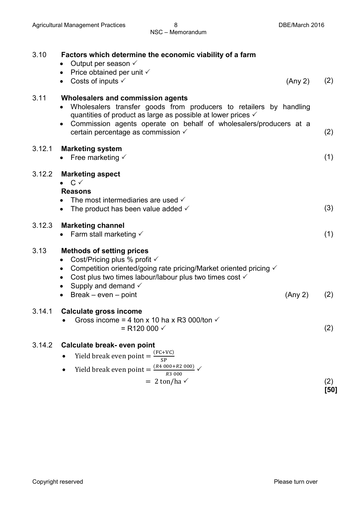| 3.10   | Factors which determine the economic viability of a farm<br>Output per season $\checkmark$<br>$\bullet$<br>Price obtained per unit $\checkmark$<br>$\bullet$<br>Costs of inputs $\checkmark$<br>$\bullet$                                                                                                                       | (Any 2) | (2) |
|--------|---------------------------------------------------------------------------------------------------------------------------------------------------------------------------------------------------------------------------------------------------------------------------------------------------------------------------------|---------|-----|
| 3.11   | Wholesalers and commission agents<br>Wholesalers transfer goods from producers to retailers by handling<br>quantities of product as large as possible at lower prices $\checkmark$<br>Commission agents operate on behalf of wholesalers/producers at a<br>$\bullet$<br>certain percentage as commission $\checkmark$           |         | (2) |
| 3.12.1 | Marketing system<br>Free marketing $\checkmark$                                                                                                                                                                                                                                                                                 |         | (1) |
| 3.12.2 | <b>Marketing aspect</b><br>$\bullet$ C $\checkmark$<br><b>Reasons</b><br>The most intermediaries are used $\checkmark$<br>$\bullet$<br>• The product has been value added $\checkmark$                                                                                                                                          |         | (3) |
|        | 3.12.3 Marketing channel<br>• Farm stall marketing $\checkmark$                                                                                                                                                                                                                                                                 |         | (1) |
| 3.13   | <b>Methods of setting prices</b><br>Cost/Pricing plus % profit √<br>$\bullet$<br>Competition oriented/going rate pricing/Market oriented pricing √<br>$\bullet$<br>Cost plus two times labour/labour plus two times cost V<br>$\bullet$<br>Supply and demand $\checkmark$<br>$\bullet$<br>Break $-$ even $-$ point<br>$\bullet$ | (Any 2) | (2) |
|        | 3.14.1 Calculate gross income<br>• Gross income = 4 ton x 10 ha x R3 000/ton $\checkmark$<br>= R120 000 $\checkmark$                                                                                                                                                                                                            |         | (2) |
| 3.14.2 | Calculate break- even point<br>Yield break even point = $\frac{(FC+VC)}{SP}$<br>Yield break even point = $\frac{(R4\ 000+R2\ 000)}{R3\ 000}$ $\checkmark$<br>$= 2 \tan/ha \checkmark$                                                                                                                                           |         | (2) |
|        |                                                                                                                                                                                                                                                                                                                                 |         |     |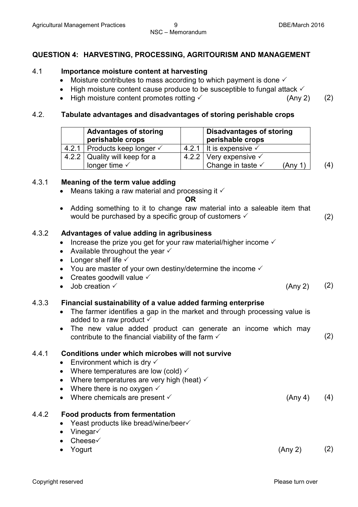#### **QUESTION 4: HARVESTING, PROCESSING, AGRITOURISM AND MANAGEMENT**

#### 4.1 **Importance moisture content at harvesting**

- Moisture contributes to mass according to which payment is done  $\checkmark$
- High moisture content cause produce to be susceptible to fungal attack  $\checkmark$
- High moisture content promotes rotting  $\checkmark$  (Any 2) (2)

#### 4.2. **Tabulate advantages and disadvantages of storing perishable crops**

| <b>Advantages of storing</b><br>perishable crops |                                         | Disadvantages of storing<br>perishable crops |                                    |         |     |
|--------------------------------------------------|-----------------------------------------|----------------------------------------------|------------------------------------|---------|-----|
|                                                  | 4.2.1 Products keep longer $\checkmark$ |                                              | 4.2.1 It is expensive $\checkmark$ |         |     |
|                                                  | 4.2.2   Quality will keep for a         |                                              | 4.2.2 Very expensive $\checkmark$  |         |     |
|                                                  | longer time $\checkmark$                |                                              | Change in taste $\checkmark$       | (Any 1) | (4) |

#### 4.3.1 **Meaning of the term value adding**

• Means taking a raw material and processing it  $\checkmark$ 

**OR**

• Adding something to it to change raw material into a saleable item that would be purchased by a specific group of customers  $\checkmark$  (2)

#### 4.3.2 **Advantages of value adding in agribusiness**

- Increase the prize you get for your raw material/higher income  $\checkmark$
- Available throughout the year  $\checkmark$
- Longer shelf life  $\checkmark$
- You are master of your own destiny/determine the income  $\checkmark$
- Creates goodwill value  $\checkmark$
- Job creation  $\checkmark$  (Any 2) (2)

#### 4.3.3 **Financial sustainability of a value added farming enterprise**

- The farmer identifies a gap in the market and through processing value is added to a raw product  $\checkmark$
- The new value added product can generate an income which may contribute to the financial viability of the farm  $\checkmark$  (2)

#### 4.4.1 **Conditions under which microbes will not survive**

- Environment which is dry  $\checkmark$
- Where temperatures are low (cold)  $\checkmark$
- Where temperatures are very high (heat)  $\checkmark$
- Where there is no oxygen  $\checkmark$
- Where chemicals are present  $(4)$

#### 4.4.2 **Food products from fermentation**

- Yeast products like bread/wine/beer $\checkmark$
- $\bullet$  Vinegar $\checkmark$
- $\bullet$  Cheese $\checkmark$
- Yogurt (Any 2) (2)

Copyright reserved **Please turn over the Copyright reserved** Please turn over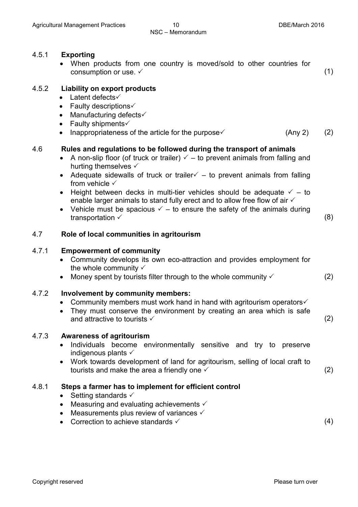• When products from one country is moved/sold to other countries for consumption or use.  $\checkmark$  (1)

#### 4.5.2 **Liability on export products**

- $\bullet$  Latent defects $\checkmark$
- Faulty descriptions $\checkmark$
- Manufacturing defects $\checkmark$
- Faulty shipments $\checkmark$
- Inappropriateness of the article for the purpose  $(2)$  (2)

#### 4.6 **Rules and regulations to be followed during the transport of animals**

- A non-slip floor (of truck or trailer)  $\checkmark$  to prevent animals from falling and hurting themselves  $\checkmark$
- Adequate sidewalls of truck or trailer  $\checkmark$  to prevent animals from falling from vehicle  $\checkmark$
- Height between decks in multi-tier vehicles should be adequate  $\checkmark$  to enable larger animals to stand fully erect and to allow free flow of air  $\checkmark$
- Vehicle must be spacious  $\checkmark$  to ensure the safety of the animals during transportation  $\checkmark$  (8)

#### 4.7 **Role of local communities in agritourism**

#### 4.7.1 **Empowerment of community**

- Community develops its own eco-attraction and provides employment for the whole community  $\checkmark$
- Money spent by tourists filter through to the whole community  $\checkmark$  (2)

#### 4.7.2 **Involvement by community members:**

- Community members must work hand in hand with agritourism operators $\checkmark$
- They must conserve the environment by creating an area which is safe and attractive to tourists  $(2)$

#### 4.7.3 **Awareness of agritourism**

- Individuals become environmentally sensitive and try to preserve indigenous plants  $\checkmark$
- Work towards development of land for agritourism, selling of local craft to tourists and make the area a friendly one  $(2)$

#### 4.8.1 **Steps a farmer has to implement for efficient control**

- Setting standards  $\checkmark$
- Measuring and evaluating achievements  $\checkmark$
- Measurements plus review of variances  $\checkmark$
- Correction to achieve standards  $\checkmark$  (4)